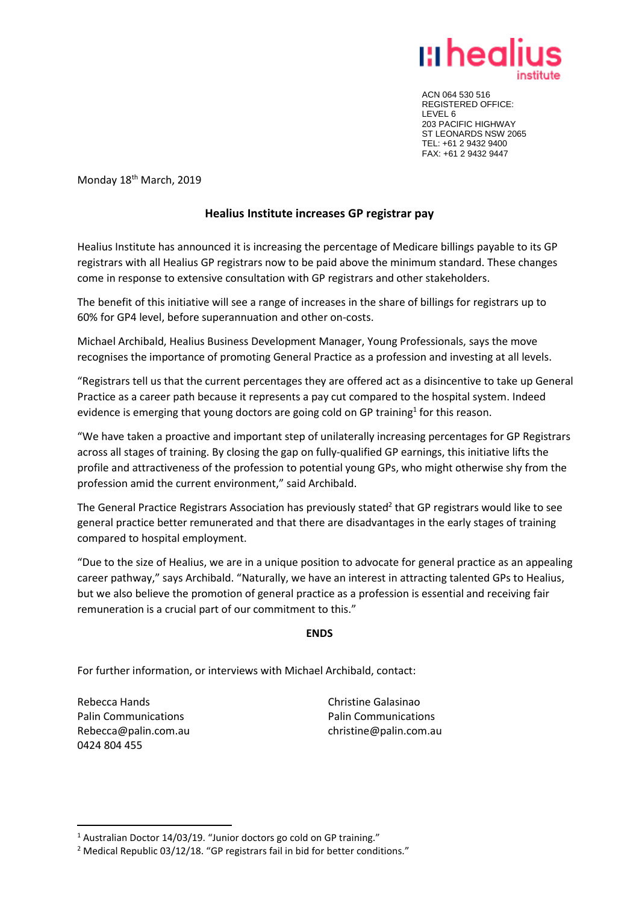

ACN 064 530 516 REGISTERED OFFICE: LEVEL 6 203 PACIFIC HIGHWAY ST LEONARDS NSW 2065 TEL: +61 2 9432 9400 FAX: +61 2 9432 9447

Monday 18<sup>th</sup> March, 2019

## **Healius Institute increases GP registrar pay**

Healius Institute has announced it is increasing the percentage of Medicare billings payable to its GP registrars with all Healius GP registrars now to be paid above the minimum standard. These changes come in response to extensive consultation with GP registrars and other stakeholders.

The benefit of this initiative will see a range of increases in the share of billings for registrars up to 60% for GP4 level, before superannuation and other on-costs.

Michael Archibald, Healius Business Development Manager, Young Professionals, says the move recognises the importance of promoting General Practice as a profession and investing at all levels.

"Registrars tell us that the current percentages they are offered act as a disincentive to take up General Practice as a career path because it represents a pay cut compared to the hospital system. Indeed evidence is emerging that young doctors are going cold on GP training<sup>1</sup> for this reason.

"We have taken a proactive and important step of unilaterally increasing percentages for GP Registrars across all stages of training. By closing the gap on fully-qualified GP earnings, this initiative lifts the profile and attractiveness of the profession to potential young GPs, who might otherwise shy from the profession amid the current environment," said Archibald.

The General Practice Registrars Association has previously stated<sup>2</sup> that GP registrars would like to see general practice better remunerated and that there are disadvantages in the early stages of training compared to hospital employment.

"Due to the size of Healius, we are in a unique position to advocate for general practice as an appealing career pathway," says Archibald. "Naturally, we have an interest in attracting talented GPs to Healius, but we also believe the promotion of general practice as a profession is essential and receiving fair remuneration is a crucial part of our commitment to this."

## **ENDS**

For further information, or interviews with Michael Archibald, contact:

Rebecca Hands Palin Communications Rebecca@palin.com.au 0424 804 455

**.** 

Christine Galasinao Palin Communications christine@palin.com.au

<sup>&</sup>lt;sup>1</sup> Australian Doctor 14/03/19. "Junior doctors go cold on GP training."

<sup>&</sup>lt;sup>2</sup> Medical Republic 03/12/18. "GP registrars fail in bid for better conditions."